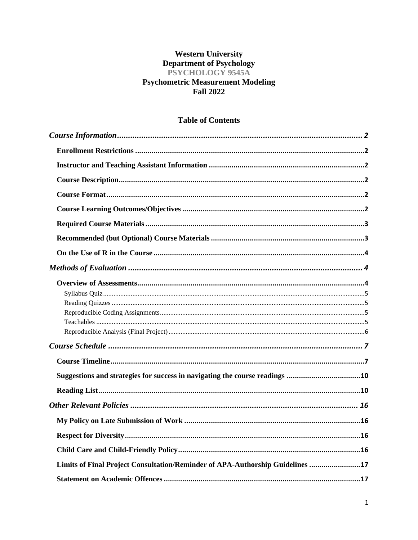# **Western University** Department of Psychology<br>PSYCHOLOGY 9545A **Psychometric Measurement Modeling Fall 2022**

# **Table of Contents**

| Limits of Final Project Consultation/Reminder of APA-Authorship Guidelines 17 |  |
|-------------------------------------------------------------------------------|--|
|                                                                               |  |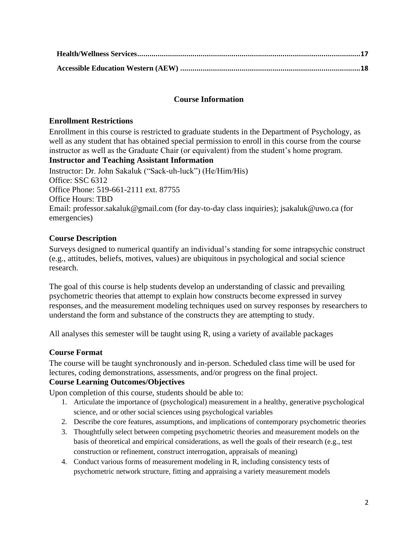# **Course Information**

### <span id="page-1-1"></span><span id="page-1-0"></span>**Enrollment Restrictions**

Enrollment in this course is restricted to graduate students in the Department of Psychology, as well as any student that has obtained special permission to enroll in this course from the course instructor as well as the Graduate Chair (or equivalent) from the student's home program. **Instructor and Teaching Assistant Information**

<span id="page-1-2"></span>Instructor: Dr. John Sakaluk ("Sack-uh-luck") (He/Him/His) Office: SSC 6312 Office Phone: 519-661-2111 ext. 87755 Office Hours: TBD Email: professor.sakaluk@gmail.com (for day-to-day class inquiries); jsakaluk@uwo.ca (for emergencies)

# <span id="page-1-3"></span>**Course Description**

Surveys designed to numerical quantify an individual's standing for some intrapsychic construct (e.g., attitudes, beliefs, motives, values) are ubiquitous in psychological and social science research.

The goal of this course is help students develop an understanding of classic and prevailing psychometric theories that attempt to explain how constructs become expressed in survey responses, and the measurement modeling techniques used on survey responses by researchers to understand the form and substance of the constructs they are attempting to study.

All analyses this semester will be taught using R, using a variety of available packages

# <span id="page-1-4"></span>**Course Format**

The course will be taught synchronously and in-person. Scheduled class time will be used for lectures, coding demonstrations, assessments, and/or progress on the final project.

# <span id="page-1-5"></span>**Course Learning Outcomes/Objectives**

Upon completion of this course, students should be able to:

- 1. Articulate the importance of (psychological) measurement in a healthy, generative psychological science, and or other social sciences using psychological variables
- 2. Describe the core features, assumptions, and implications of contemporary psychometric theories
- 3. Thoughtfully select between competing psychometric theories and measurement models on the basis of theoretical and empirical considerations, as well the goals of their research (e.g., test construction or refinement, construct interrogation, appraisals of meaning)
- 4. Conduct various forms of measurement modeling in R, including consistency tests of psychometric network structure, fitting and appraising a variety measurement models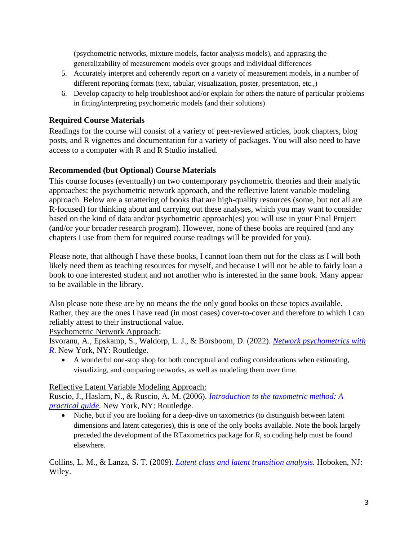(psychometric networks, mixture models, factor analysis models), and apprasing the generalizability of measurement models over groups and individual differences

- 5. Accurately interpret and coherently report on a variety of measurement models, in a number of different reporting formats (text, tabular, visualization, poster, presentation, etc.,)
- 6. Develop capacity to help troubleshoot and/or explain for others the nature of particular problems in fitting/interpreting psychometric models (and their solutions)

# <span id="page-2-0"></span>**Required Course Materials**

Readings for the course will consist of a variety of peer-reviewed articles, book chapters, blog posts, and R vignettes and documentation for a variety of packages. You will also need to have access to a computer with R and R Studio installed.

# <span id="page-2-1"></span>**Recommended (but Optional) Course Materials**

This course focuses (eventually) on two contemporary psychometric theories and their analytic approaches: the psychometric network approach, and the reflective latent variable modeling approach. Below are a smattering of books that are high-quality resources (some, but not all are R-focused) for thinking about and carrying out these analyses, which you may want to consider based on the kind of data and/or psychometric approach(es) you will use in your Final Project (and/or your broader research program). However, none of these books are required (and any chapters I use from them for required course readings will be provided for you).

Please note, that although I have these books, I cannot loan them out for the class as I will both likely need them as teaching resources for myself, and because I will not be able to fairly loan a book to one interested student and not another who is interested in the same book. Many appear to be available in the library.

Also please note these are by no means the the only good books on these topics available. Rather, they are the ones I have read (in most cases) cover-to-cover and therefore to which I can reliably attest to their instructional value.

Psychometric Network Approach:

Isvoranu, A., Epskamp, S., Waldorp, L. J., & Borsboom, D. (2022). *[Network psychometrics with](https://www.routledge.com/Network-Psychometrics-with-R-A-Guide-for-Behavioral-and-Social-Scientists/Isvoranu-Epskamp-Waldorp-Borsboom/p/book/9780367612948)  [R](https://www.routledge.com/Network-Psychometrics-with-R-A-Guide-for-Behavioral-and-Social-Scientists/Isvoranu-Epskamp-Waldorp-Borsboom/p/book/9780367612948)*. New York, NY: Routledge.

• A wonderful one-stop shop for both conceptual and coding considerations when estimating, visualizing, and comparing networks, as well as modeling them over time.

# Reflective Latent Variable Modeling Approach:

Ruscio, J., Haslam, N., & Ruscio, A. M. (2006). *[Introduction to the taxometric method: A](https://www.amazon.ca/Introduction-Taxometric-Method-Practical-Guide/dp/0805847499/ref=sr_1_1?crid=32XTKF4XSN3BX&keywords=introduction+to+the+taxometric+method&qid=1651768252&s=books&sprefix=introduction+to+the+taxometric+method%2Cstripbooks%2C55&sr=1-1)  [practical guide](https://www.amazon.ca/Introduction-Taxometric-Method-Practical-Guide/dp/0805847499/ref=sr_1_1?crid=32XTKF4XSN3BX&keywords=introduction+to+the+taxometric+method&qid=1651768252&s=books&sprefix=introduction+to+the+taxometric+method%2Cstripbooks%2C55&sr=1-1)*. New York, NY: Routledge.

• Niche, but if you are looking for a deep-dive on taxometrics (to distinguish between latent dimensions and latent categories), this is one of the only books available. Note the book largely preceded the development of the RTaxometrics package for *R*, so coding help must be found elsewhere.

Collins, L. M., & Lanza, S. T. (2009). *[Latent class and latent transition analysis.](https://www.amazon.ca/Latent-Class-Transition-Analysis-Applications/dp/0470228393/ref=sr_1_4?crid=3U1QBXCK00YK7&keywords=latent+class+analysis&qid=1651767955&s=books&sprefix=latent+class+analysis%2Cstripbooks%2C73&sr=1-4&asin=0470228393&revisionId=&format=4&depth=1)* Hoboken, NJ: Wiley.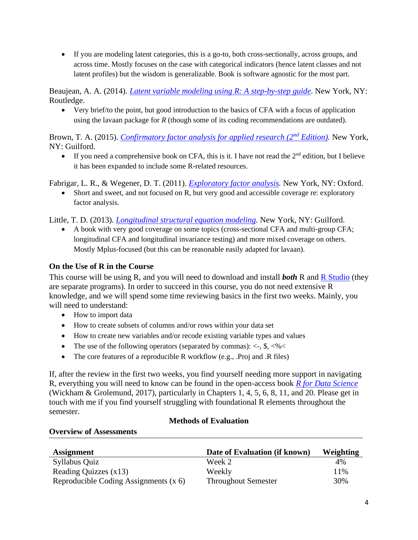• If you are modeling latent categories, this is a go-to, both cross-sectionally, across groups, and across time. Mostly focuses on the case with categorical indicators (hence latent classes and not latent profiles) but the wisdom is generalizable. Book is software agnostic for the most part.

Beaujean, A. A. (2014). *[Latent variable modeling using R: A step-by-step guide](https://www.amazon.ca/Latent-Variable-Modeling-Using-Step/dp/1848726996)*. New York, NY: Routledge.

• Very brief/to the point, but good introduction to the basics of CFA with a focus of application using the lavaan package for *R* (though some of its coding recommendations are outdated).

Brown, T. A. (2015). *[Confirmatory factor analysis for applied research \(2](https://www.amazon.ca/Confirmatory-Factor-Analysis-Applied-Research/dp/1462515363/ref=sr_1_1?crid=2L1HNHMQ7Y68F&keywords=confirmatory+factor+analysis&qid=1651768067&s=books&sprefix=confirmatory+factor+analysis%2Cstripbooks%2C69&sr=1-1)nd Edition).* New York, NY: Guilford.

• If you need a comprehensive book on CFA, this is it. I have not read the  $2<sup>nd</sup>$  edition, but I believe it has been expanded to include some R-related resources.

Fabrigar, L. R., & Wegener, D. T. (2011). *Exploratory factor analysis*. New York, NY: Oxford.

• Short and sweet, and not focused on R, but very good and accessible coverage re: exploratory factor analysis.

Little, T. D. (2013). *Longitudinal structural equation modeling*. New York, NY: Guilford.

• A book with very good coverage on some topics (cross-sectional CFA and multi-group CFA; longitudinal CFA and longitudinal invariance testing) and more mixed coverage on others. Mostly Mplus-focused (but this can be reasonable easily adapted for lavaan).

# <span id="page-3-0"></span>**On the Use of R in the Course**

This course will be using R, and you will need to download and install *both* [R](https://cloud.r-project.org/) and [R Studio](https://www.rstudio.com/products/rstudio/download/#download) (they are separate programs). In order to succeed in this course, you do not need extensive R knowledge, and we will spend some time reviewing basics in the first two weeks. Mainly, you will need to understand:

- How to import data
- How to create subsets of columns and/or rows within your data set
- How to create new variables and/or recode existing variable types and values
- The use of the following operators (separated by commas):  $\langle -, \, \$$ ,  $\langle \% \rangle$
- The core features of a reproducible R workflow (e.g., .Proj and .R files)

If, after the review in the first two weeks, you find yourself needing more support in navigating R, everything you will need to know can be found in the open-access book *[R for Data Science](https://r4ds.had.co.nz/)* (Wickham & Grolemund, 2017), particularly in Chapters 1, 4, 5, 6, 8, 11, and 20. Please get in touch with me if you find yourself struggling with foundational R elements throughout the semester.

#### **Methods of Evaluation**

#### <span id="page-3-2"></span><span id="page-3-1"></span>**Overview of Assessments**

| <b>Assignment</b>                       | Date of Evaluation (if known) | Weighting |
|-----------------------------------------|-------------------------------|-----------|
| Syllabus Quiz                           | Week 2                        | 4%        |
| Reading Quizzes $(x13)$                 | Weekly                        | 11%       |
| Reproducible Coding Assignments $(x 6)$ | <b>Throughout Semester</b>    | 30%       |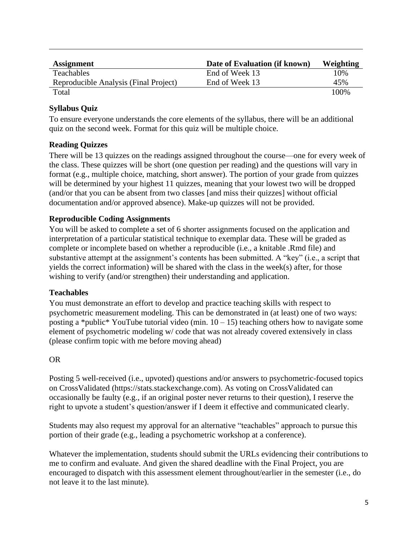| <b>Assignment</b>                     | Date of Evaluation (if known) | Weighting |
|---------------------------------------|-------------------------------|-----------|
| Teachables                            | End of Week 13                | 10%       |
| Reproducible Analysis (Final Project) | End of Week 13                | 45%       |
| Total                                 |                               | 100\%     |

# <span id="page-4-0"></span>**Syllabus Quiz**

To ensure everyone understands the core elements of the syllabus, there will be an additional quiz on the second week. Format for this quiz will be multiple choice.

# <span id="page-4-1"></span>**Reading Quizzes**

There will be 13 quizzes on the readings assigned throughout the course—one for every week of the class. These quizzes will be short (one question per reading) and the questions will vary in format (e.g., multiple choice, matching, short answer). The portion of your grade from quizzes will be determined by your highest 11 quizzes, meaning that your lowest two will be dropped (and/or that you can be absent from two classes [and miss their quizzes] without official documentation and/or approved absence). Make-up quizzes will not be provided.

# <span id="page-4-2"></span>**Reproducible Coding Assignments**

You will be asked to complete a set of 6 shorter assignments focused on the application and interpretation of a particular statistical technique to exemplar data. These will be graded as complete or incomplete based on whether a reproducible (i.e., a knitable .Rmd file) and substantive attempt at the assignment's contents has been submitted. A "key" (i.e., a script that yields the correct information) will be shared with the class in the week(s) after, for those wishing to verify (and/or strengthen) their understanding and application.

# <span id="page-4-3"></span>**Teachables**

You must demonstrate an effort to develop and practice teaching skills with respect to psychometric measurement modeling. This can be demonstrated in (at least) one of two ways: posting a \*public\* YouTube tutorial video (min.  $10 - 15$ ) teaching others how to navigate some element of psychometric modeling w/ code that was not already covered extensively in class (please confirm topic with me before moving ahead)

# OR

Posting 5 well-received (i.e., upvoted) questions and/or answers to psychometric-focused topics on CrossValidated (https://stats.stackexchange.com). As voting on CrossValidated can occasionally be faulty (e.g., if an original poster never returns to their question), I reserve the right to upvote a student's question/answer if I deem it effective and communicated clearly.

Students may also request my approval for an alternative "teachables" approach to pursue this portion of their grade (e.g., leading a psychometric workshop at a conference).

Whatever the implementation, students should submit the URLs evidencing their contributions to me to confirm and evaluate. And given the shared deadline with the Final Project, you are encouraged to dispatch with this assessment element throughout/earlier in the semester (i.e., do not leave it to the last minute).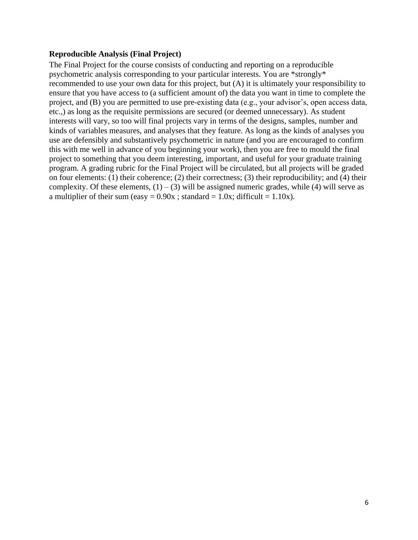#### <span id="page-5-0"></span>**Reproducible Analysis (Final Project)**

The Final Project for the course consists of conducting and reporting on a reproducible psychometric analysis corresponding to your particular interests. You are \*strongly\* recommended to use your own data for this project, but (A) it is ultimately your responsibility to ensure that you have access to (a sufficient amount of) the data you want in time to complete the project, and (B) you are permitted to use pre-existing data (e.g., your advisor's, open access data, etc.,) as long as the requisite permissions are secured (or deemed unnecessary). As student interests will vary, so too will final projects vary in terms of the designs, samples, number and kinds of variables measures, and analyses that they feature. As long as the kinds of analyses you use are defensibly and substantively psychometric in nature (and you are encouraged to confirm this with me well in advance of you beginning your work), then you are free to mould the final project to something that you deem interesting, important, and useful for your graduate training program. A grading rubric for the Final Project will be circulated, but all projects will be graded on four elements: (1) their coherence; (2) their correctness; (3) their reproducibility; and (4) their complexity. Of these elements,  $(1) - (3)$  will be assigned numeric grades, while (4) will serve as a multiplier of their sum (easy =  $0.90x$ ; standard = 1.0x; difficult = 1.10x).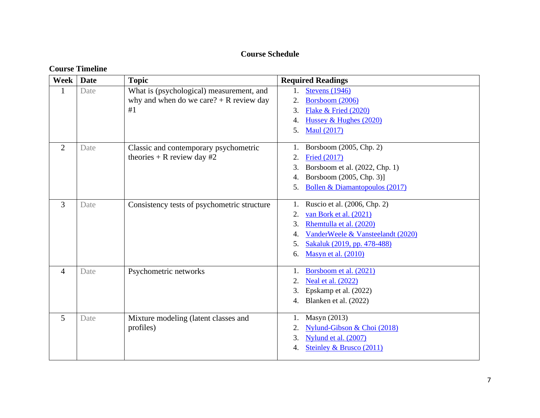# **Course Schedule**

# **Course Timeline**

<span id="page-6-1"></span><span id="page-6-0"></span>

| Week           | <b>Date</b> | <b>Topic</b>                                | <b>Required Readings</b>                |
|----------------|-------------|---------------------------------------------|-----------------------------------------|
| $\mathbf{1}$   | Date        | What is (psychological) measurement, and    | <b>Stevens</b> (1946)<br>$1_{-}$        |
|                |             | why and when do we care? $+$ R review day   | Borsboom (2006)<br>2.                   |
|                |             | #1                                          | 3.<br>Flake $&$ Fried (2020)            |
|                |             |                                             | Hussey & Hughes (2020)<br>4.            |
|                |             |                                             | <b>Maul</b> (2017)<br>5.                |
| $\overline{2}$ | Date        | Classic and contemporary psychometric       | Borsboom (2005, Chp. 2)<br>1.           |
|                |             | theories + R review day $#2$                | <b>Fried (2017)</b><br>2.               |
|                |             |                                             | Borsboom et al. (2022, Chp. 1)<br>3.    |
|                |             |                                             | Borsboom (2005, Chp. 3)]<br>4.          |
|                |             |                                             | Bollen & Diamantopoulos (2017)<br>5.    |
|                |             |                                             |                                         |
| $\overline{3}$ | Date        | Consistency tests of psychometric structure | Ruscio et al. (2006, Chp. 2)            |
|                |             |                                             | van Bork et al. (2021)<br>2.            |
|                |             |                                             | Rhemtulla et al. (2020)<br>3.           |
|                |             |                                             | VanderWeele & Vansteelandt (2020)<br>4. |
|                |             |                                             | Sakaluk (2019, pp. 478-488)<br>5.       |
|                |             |                                             | Masyn et al. (2010)<br>6.               |
| $\overline{4}$ | Date        | Psychometric networks                       | Borsboom et al. (2021)<br>1.            |
|                |             |                                             | <b>Neal et al.</b> (2022)<br>2.         |
|                |             |                                             | Epskamp et al. (2022)<br>3.             |
|                |             |                                             | Blanken et al. (2022)<br>4.             |
|                |             |                                             |                                         |
| 5              | Date        | Mixture modeling (latent classes and        | Masyn (2013)                            |
|                |             | profiles)                                   | Nylund-Gibson & Choi (2018)<br>2.       |
|                |             |                                             | 3.<br>Nylund et al. (2007)              |
|                |             |                                             | Steinley & Brusco (2011)<br>4.          |
|                |             |                                             |                                         |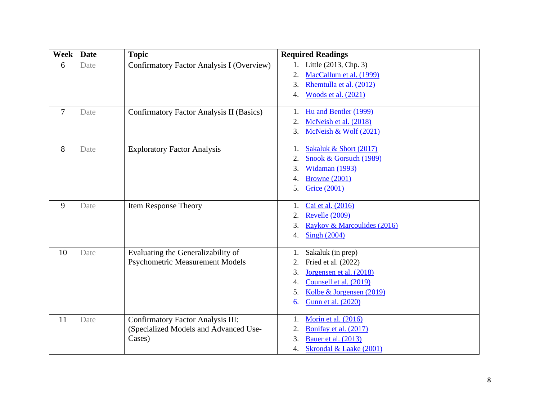| Week   | <b>Date</b> | <b>Topic</b>                              | <b>Required Readings</b>                |
|--------|-------------|-------------------------------------------|-----------------------------------------|
| 6      | Date        | Confirmatory Factor Analysis I (Overview) | Little (2013, Chp. 3)                   |
|        |             |                                           | MacCallum et al. (1999)<br>2.           |
|        |             |                                           | 3.<br>Rhemtulla et al. (2012)           |
|        |             |                                           | Woods et al. (2021)<br>4.               |
| $\tau$ | Date        | Confirmatory Factor Analysis II (Basics)  | Hu and Bentler (1999)<br>1.             |
|        |             |                                           | McNeish et al. (2018)<br>2.             |
|        |             |                                           | McNeish & Wolf (2021)<br>3.             |
| 8      | Date        | <b>Exploratory Factor Analysis</b>        | Sakaluk & Short (2017)<br>1.            |
|        |             |                                           | Snook & Gorsuch (1989)                  |
|        |             |                                           | Widaman (1993)<br>3.                    |
|        |             |                                           | <b>Browne</b> (2001)<br>4.              |
|        |             |                                           | Grice (2001)<br>5.                      |
| 9      | Date        | <b>Item Response Theory</b>               | Cai et al. (2016)<br>1.                 |
|        |             |                                           | <b>Revelle (2009)</b><br>2.             |
|        |             |                                           | 3.<br>Raykov & Marcoulides (2016)       |
|        |             |                                           | <b>Singh (2004)</b><br>$\overline{4}$ . |
| 10     | Date        | Evaluating the Generalizability of        | Sakaluk (in prep)<br>1.                 |
|        |             | <b>Psychometric Measurement Models</b>    | Fried et al. (2022)<br>2.               |
|        |             |                                           | Jorgensen et al. (2018)<br>3.           |
|        |             |                                           | Counsell et al. (2019)<br>4.            |
|        |             |                                           | Kolbe & Jorgensen (2019)<br>5.          |
|        |             |                                           | Gunn et al. (2020)<br>6.                |
| 11     | Date        | <b>Confirmatory Factor Analysis III:</b>  | Morin et al. (2016)<br>1.               |
|        |             | (Specialized Models and Advanced Use-     | Bonifay et al. (2017)<br>2.             |
|        |             | Cases)                                    | 3.<br>Bauer et al. (2013)               |
|        |             |                                           | Skrondal & Laake (2001)<br>4.           |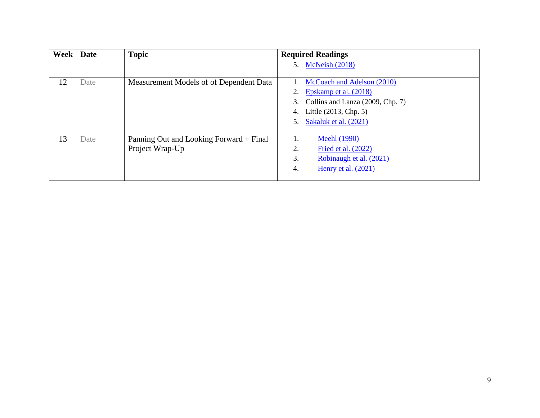| Week | Date | <b>Topic</b>                            | <b>Required Readings</b>               |
|------|------|-----------------------------------------|----------------------------------------|
|      |      |                                         | <b>McNeish (2018)</b><br>5.            |
| 12   | Date | Measurement Models of of Dependent Data | McCoach and Adelson (2010)             |
|      |      |                                         | Epskamp et al. (2018)<br>2.            |
|      |      |                                         | Collins and Lanza (2009, Chp. 7)<br>3. |
|      |      |                                         | Little (2013, Chp. 5)<br>4.            |
|      |      |                                         | Sakaluk et al. (2021)<br>5.            |
|      |      |                                         |                                        |
| 13   | Date | Panning Out and Looking Forward + Final | <b>Meehl</b> (1990)                    |
|      |      | Project Wrap-Up                         | 2.<br>Fried et al. (2022)              |
|      |      |                                         | 3.<br>Robinaugh et al. (2021)          |
|      |      |                                         | Henry et al. $(2021)$<br>4.            |
|      |      |                                         |                                        |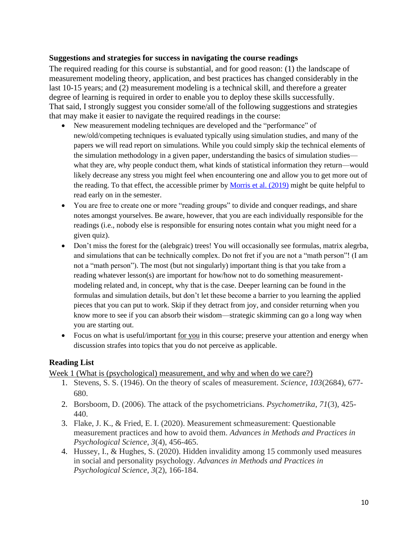#### <span id="page-9-0"></span>**Suggestions and strategies for success in navigating the course readings**

The required reading for this course is substantial, and for good reason: (1) the landscape of measurement modeling theory, application, and best practices has changed considerably in the last 10-15 years; and (2) measurement modeling is a technical skill, and therefore a greater degree of learning is required in order to enable you to deploy these skills successfully. That said, I strongly suggest you consider some/all of the following suggestions and strategies that may make it easier to navigate the required readings in the course:

- New measurement modeling techniques are developed and the "performance" of new/old/competing techniques is evaluated typically using simulation studies, and many of the papers we will read report on simulations. While you could simply skip the technical elements of the simulation methodology in a given paper, understanding the basics of simulation studies what they are, why people conduct them, what kinds of statistical information they return—would likely decrease any stress you might feel when encountering one and allow you to get more out of the reading. To that effect, the accessible primer by Morris et al.  $(2019)$  might be quite helpful to read early on in the semester.
- You are free to create one or more "reading groups" to divide and conquer readings, and share notes amongst yourselves. Be aware, however, that you are each individually responsible for the readings (i.e., nobody else is responsible for ensuring notes contain what you might need for a given quiz).
- Don't miss the forest for the (alebgraic) trees! You will occasionally see formulas, matrix alegrba, and simulations that can be technically complex. Do not fret if you are not a "math person"! (I am not a "math person"). The most (but not singularly) important thing is that you take from a reading whatever lesson(s) are important for how/how not to do something measurementmodeling related and, in concept, why that is the case. Deeper learning can be found in the formulas and simulation details, but don't let these become a barrier to you learning the applied pieces that you can put to work. Skip if they detract from joy, and consider returning when you know more to see if you can absorb their wisdom—strategic skimming can go a long way when you are starting out.
- Focus on what is useful/important <u>for you</u> in this course; preserve your attention and energy when discussion strafes into topics that you do not perceive as applicable.

# <span id="page-9-1"></span>**Reading List**

Week 1 (What is (psychological) measurement, and why and when do we care?)

- 1. Stevens, S. S. (1946). On the theory of scales of measurement. *Science*, *103*(2684), 677- 680.
- 2. Borsboom, D. (2006). The attack of the psychometricians. *Psychometrika*, *71*(3), 425- 440.
- 3. Flake, J. K., & Fried, E. I. (2020). Measurement schmeasurement: Questionable measurement practices and how to avoid them. *Advances in Methods and Practices in Psychological Science*, *3*(4), 456-465.
- 4. Hussey, I., & Hughes, S. (2020). Hidden invalidity among 15 commonly used measures in social and personality psychology. *Advances in Methods and Practices in Psychological Science*, *3*(2), 166-184.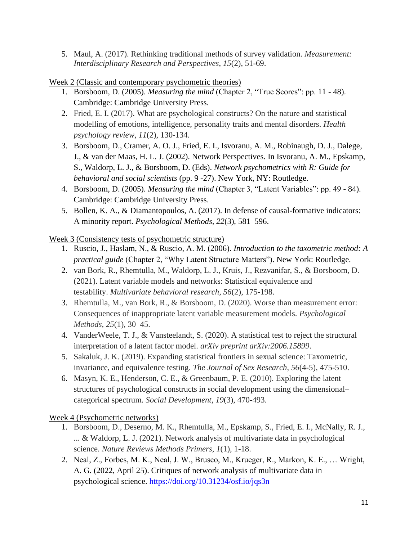5. Maul, A. (2017). Rethinking traditional methods of survey validation. *Measurement: Interdisciplinary Research and Perspectives*, *15*(2), 51-69.

Week 2 (Classic and contemporary psychometric theories)

- 1. Borsboom, D. (2005). *Measuring the mind* (Chapter 2, "True Scores": pp. 11 48). Cambridge: Cambridge University Press.
- 2. Fried, E. I. (2017). What are psychological constructs? On the nature and statistical modelling of emotions, intelligence, personality traits and mental disorders. *Health psychology review*, *11*(2), 130-134.
- 3. Borsboom, D., Cramer, A. O. J., Fried, E. I., Isvoranu, A. M., Robinaugh, D. J., Dalege, J., & van der Maas, H. L. J. (2002). Network Perspectives. In Isvoranu, A. M., Epskamp, S., Waldorp, L. J., & Borsboom, D. (Eds). *Network psychometrics with R: Guide for behavioral and social scientists* (pp. 9 -27). New York, NY: Routledge.
- 4. Borsboom, D. (2005). *Measuring the mind* (Chapter 3, "Latent Variables": pp. 49 84). Cambridge: Cambridge University Press.
- 5. Bollen, K. A., & Diamantopoulos, A. (2017). In defense of causal-formative indicators: A minority report. *Psychological Methods, 22*(3), 581–596.

Week 3 (Consistency tests of psychometric structure)

- 1. Ruscio, J., Haslam, N., & Ruscio, A. M. (2006). *Introduction to the taxometric method: A practical guide* (Chapter 2, "Why Latent Structure Matters"). New York: Routledge.
- 2. van Bork, R., Rhemtulla, M., Waldorp, L. J., Kruis, J., Rezvanifar, S., & Borsboom, D. (2021). Latent variable models and networks: Statistical equivalence and testability. *Multivariate behavioral research*, *56*(2), 175-198.
- 3. Rhemtulla, M., van Bork, R., & Borsboom, D. (2020). Worse than measurement error: Consequences of inappropriate latent variable measurement models. *Psychological Methods, 25*(1), 30–45.
- 4. VanderWeele, T. J., & Vansteelandt, S. (2020). A statistical test to reject the structural interpretation of a latent factor model. *arXiv preprint arXiv:2006.15899*.
- 5. Sakaluk, J. K. (2019). Expanding statistical frontiers in sexual science: Taxometric, invariance, and equivalence testing. *The Journal of Sex Research*, *56*(4-5), 475-510.
- 6. Masyn, K. E., Henderson, C. E., & Greenbaum, P. E. (2010). Exploring the latent structures of psychological constructs in social development using the dimensional– categorical spectrum. *Social Development*, *19*(3), 470-493.

Week 4 (Psychometric networks)

- 1. Borsboom, D., Deserno, M. K., Rhemtulla, M., Epskamp, S., Fried, E. I., McNally, R. J., ... & Waldorp, L. J. (2021). Network analysis of multivariate data in psychological science. *Nature Reviews Methods Primers*, *1*(1), 1-18.
- 2. Neal, Z., Forbes, M. K., Neal, J. W., Brusco, M., Krueger, R., Markon, K. E., … Wright, A. G. (2022, April 25). Critiques of network analysis of multivariate data in psychological science.<https://doi.org/10.31234/osf.io/jqs3n>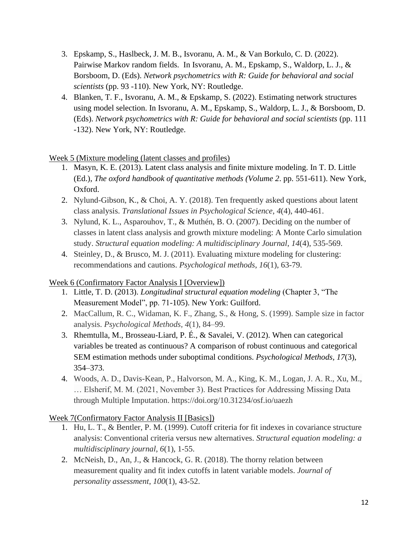- 3. Epskamp, S., Haslbeck, J. M. B., Isvoranu, A. M., & Van Borkulo, C. D. (2022). Pairwise Markov random fields. In Isvoranu, A. M., Epskamp, S., Waldorp, L. J., & Borsboom, D. (Eds). *Network psychometrics with R: Guide for behavioral and social scientists* (pp. 93 -110). New York, NY: Routledge.
- 4. Blanken, T. F., Isvoranu, A. M., & Epskamp, S. (2022). Estimating network structures using model selection. In Isvoranu, A. M., Epskamp, S., Waldorp, L. J., & Borsboom, D. (Eds). *Network psychometrics with R: Guide for behavioral and social scientists* (pp. 111 -132). New York, NY: Routledge.

# Week 5 (Mixture modeling (latent classes and profiles)

- 1. Masyn, K. E. (2013). Latent class analysis and finite mixture modeling. In T. D. Little (Ed.), *The oxford handbook of quantitative methods (Volume 2*. pp. 551-611). New York, Oxford.
- 2. Nylund-Gibson, K., & Choi, A. Y. (2018). Ten frequently asked questions about latent class analysis. *Translational Issues in Psychological Science*, *4*(4), 440-461.
- 3. Nylund, K. L., Asparouhov, T., & Muthén, B. O. (2007). Deciding on the number of classes in latent class analysis and growth mixture modeling: A Monte Carlo simulation study. *Structural equation modeling: A multidisciplinary Journal*, *14*(4), 535-569.
- 4. Steinley, D., & Brusco, M. J. (2011). Evaluating mixture modeling for clustering: recommendations and cautions. *Psychological methods*, *16*(1), 63-79.

# Week 6 (Confirmatory Factor Analysis I [Overview])

- 1. Little, T. D. (2013). *Longitudinal structural equation modeling* (Chapter 3, "The Measurement Model", pp. 71-105). New York: Guilford.
- 2. MacCallum, R. C., Widaman, K. F., Zhang, S., & Hong, S. (1999). Sample size in factor analysis. *Psychological Methods, 4*(1), 84–99.
- 3. Rhemtulla, M., Brosseau-Liard, P. É., & Savalei, V. (2012). When can categorical variables be treated as continuous? A comparison of robust continuous and categorical SEM estimation methods under suboptimal conditions. *Psychological Methods, 17*(3), 354–373.
- 4. Woods, A. D., Davis-Kean, P., Halvorson, M. A., King, K. M., Logan, J. A. R., Xu, M., … Elsherif, M. M. (2021, November 3). Best Practices for Addressing Missing Data through Multiple Imputation. https://doi.org/10.31234/osf.io/uaezh

Week 7(Confirmatory Factor Analysis II [Basics])

- 1. Hu, L. T., & Bentler, P. M. (1999). Cutoff criteria for fit indexes in covariance structure analysis: Conventional criteria versus new alternatives. *Structural equation modeling: a multidisciplinary journal*, *6*(1), 1-55.
- 2. McNeish, D., An, J., & Hancock, G. R. (2018). The thorny relation between measurement quality and fit index cutoffs in latent variable models. *Journal of personality assessment*, *100*(1), 43-52.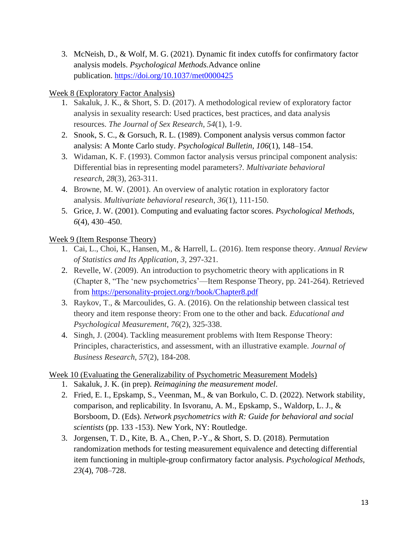3. McNeish, D., & Wolf, M. G. (2021). Dynamic fit index cutoffs for confirmatory factor analysis models. *Psychological Methods.*Advance online publication. [https://doi.org/10.1037/met0000425](https://psycnet.apa.org/doi/10.1037/met0000425)

# Week 8 (Exploratory Factor Analysis)

- 1. Sakaluk, J. K., & Short, S. D. (2017). A methodological review of exploratory factor analysis in sexuality research: Used practices, best practices, and data analysis resources. *The Journal of Sex Research*, *54*(1), 1-9.
- 2. Snook, S. C., & Gorsuch, R. L. (1989). Component analysis versus common factor analysis: A Monte Carlo study. *Psychological Bulletin, 106*(1), 148–154.
- 3. Widaman, K. F. (1993). Common factor analysis versus principal component analysis: Differential bias in representing model parameters?. *Multivariate behavioral research*, *28*(3), 263-311.
- 4. Browne, M. W. (2001). An overview of analytic rotation in exploratory factor analysis. *Multivariate behavioral research*, *36*(1), 111-150.
- 5. Grice, J. W. (2001). Computing and evaluating factor scores. *Psychological Methods, 6*(4), 430–450.

# Week 9 (Item Response Theory)

- 1. Cai, L., Choi, K., Hansen, M., & Harrell, L. (2016). Item response theory. *Annual Review of Statistics and Its Application*, *3*, 297-321.
- 2. Revelle, W. (2009). An introduction to psychometric theory with applications in R (Chapter 8, "The 'new psychometrics'—Item Response Theory, pp. 241-264). Retrieved from<https://personality-project.org/r/book/Chapter8.pdf>
- 3. Raykov, T., & Marcoulides, G. A. (2016). On the relationship between classical test theory and item response theory: From one to the other and back. *Educational and Psychological Measurement*, *76*(2), 325-338.
- 4. Singh, J. (2004). Tackling measurement problems with Item Response Theory: Principles, characteristics, and assessment, with an illustrative example. *Journal of Business Research*, *57*(2), 184-208.

# Week 10 (Evaluating the Generalizability of Psychometric Measurement Models)

- 1. Sakaluk, J. K. (in prep). *Reimagining the measurement model*.
- 2. Fried, E. I., Epskamp, S., Veenman, M., & van Borkulo, C. D. (2022). Network stability, comparison, and replicability. In Isvoranu, A. M., Epskamp, S., Waldorp, L. J., & Borsboom, D. (Eds). *Network psychometrics with R: Guide for behavioral and social scientists* (pp. 133 -153). New York, NY: Routledge.
- 3. Jorgensen, T. D., Kite, B. A., Chen, P.-Y., & Short, S. D. (2018). Permutation randomization methods for testing measurement equivalence and detecting differential item functioning in multiple-group confirmatory factor analysis. *Psychological Methods, 23*(4), 708–728.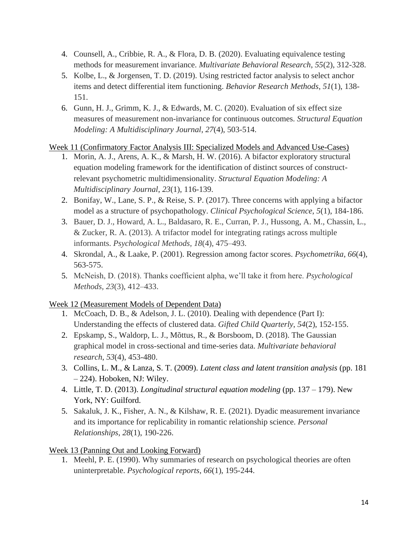- 4. Counsell, A., Cribbie, R. A., & Flora, D. B. (2020). Evaluating equivalence testing methods for measurement invariance. *Multivariate Behavioral Research*, *55*(2), 312-328.
- 5. Kolbe, L., & Jorgensen, T. D. (2019). Using restricted factor analysis to select anchor items and detect differential item functioning. *Behavior Research Methods*, *51*(1), 138- 151.
- 6. Gunn, H. J., Grimm, K. J., & Edwards, M. C. (2020). Evaluation of six effect size measures of measurement non-invariance for continuous outcomes. *Structural Equation Modeling: A Multidisciplinary Journal*, *27*(4), 503-514.

# Week 11 (Confirmatory Factor Analysis III: Specialized Models and Advanced Use-Cases)

- 1. Morin, A. J., Arens, A. K., & Marsh, H. W. (2016). A bifactor exploratory structural equation modeling framework for the identification of distinct sources of constructrelevant psychometric multidimensionality. *Structural Equation Modeling: A Multidisciplinary Journal*, *23*(1), 116-139.
- 2. Bonifay, W., Lane, S. P., & Reise, S. P. (2017). Three concerns with applying a bifactor model as a structure of psychopathology. *Clinical Psychological Science*, *5*(1), 184-186.
- 3. Bauer, D. J., Howard, A. L., Baldasaro, R. E., Curran, P. J., Hussong, A. M., Chassin, L., & Zucker, R. A. (2013). A trifactor model for integrating ratings across multiple informants. *Psychological Methods, 18*(4), 475–493.
- 4. Skrondal, A., & Laake, P. (2001). Regression among factor scores. *Psychometrika*, *66*(4), 563-575.
- 5. McNeish, D. (2018). Thanks coefficient alpha, we'll take it from here. *Psychological Methods, 23*(3), 412–433.

# Week 12 (Measurement Models of Dependent Data)

- 1. McCoach, D. B., & Adelson, J. L. (2010). Dealing with dependence (Part I): Understanding the effects of clustered data. *Gifted Child Quarterly*, *54*(2), 152-155.
- 2. Epskamp, S., Waldorp, L. J., Mõttus, R., & Borsboom, D. (2018). The Gaussian graphical model in cross-sectional and time-series data. *Multivariate behavioral research*, *53*(4), 453-480.
- 3. Collins, L. M., & Lanza, S. T. (2009). *Latent class and latent transition analysis* (pp. 181 – 224). Hoboken, NJ: Wiley.
- 4. Little, T. D. (2013). *Longitudinal structural equation modeling* (pp. 137 179). New York, NY: Guilford.
- 5. Sakaluk, J. K., Fisher, A. N., & Kilshaw, R. E. (2021). Dyadic measurement invariance and its importance for replicability in romantic relationship science. *Personal Relationships*, *28*(1), 190-226.

# Week 13 (Panning Out and Looking Forward)

1. Meehl, P. E. (1990). Why summaries of research on psychological theories are often uninterpretable. *Psychological reports*, *66*(1), 195-244.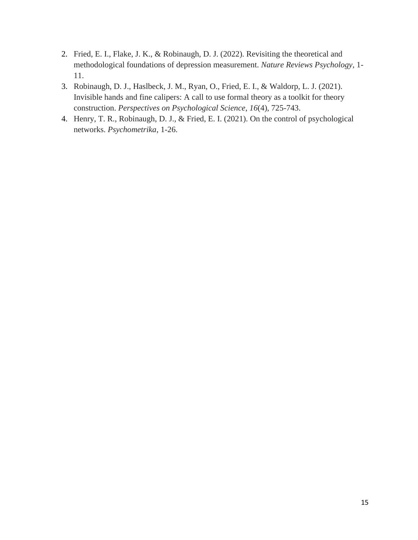- 2. Fried, E. I., Flake, J. K., & Robinaugh, D. J. (2022). Revisiting the theoretical and methodological foundations of depression measurement. *Nature Reviews Psychology*, 1- 11.
- 3. Robinaugh, D. J., Haslbeck, J. M., Ryan, O., Fried, E. I., & Waldorp, L. J. (2021). Invisible hands and fine calipers: A call to use formal theory as a toolkit for theory construction. *Perspectives on Psychological Science*, *16*(4), 725-743.
- 4. Henry, T. R., Robinaugh, D. J., & Fried, E. I. (2021). On the control of psychological networks. *Psychometrika*, 1-26.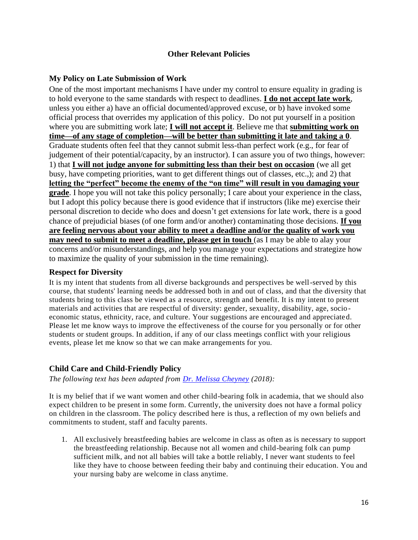### **Other Relevant Policies**

# <span id="page-15-1"></span><span id="page-15-0"></span>**My Policy on Late Submission of Work**

One of the most important mechanisms I have under my control to ensure equality in grading is to hold everyone to the same standards with respect to deadlines. **I do not accept late work**, unless you either a) have an official documented/approved excuse, or b) have invoked some official process that overrides my application of this policy. Do not put yourself in a position where you are submitting work late; **I will not accept it**. Believe me that **submitting work on time—of any stage of completion—will be better than submitting it late and taking a 0**. Graduate students often feel that they cannot submit less-than perfect work (e.g., for fear of judgement of their potential/capacity, by an instructor). I can assure you of two things, however: 1) that **I will not judge anyone for submitting less than their best on occasion** (we all get busy, have competing priorities, want to get different things out of classes, etc.,); and 2) that **letting the "perfect" become the enemy of the "on time" will result in you damaging your grade**. I hope you will not take this policy personally; I care about your experience in the class, but I adopt this policy because there is good evidence that if instructors (like me) exercise their personal discretion to decide who does and doesn't get extensions for late work, there is a good chance of prejudicial biases (of one form and/or another) contaminating those decisions. **If you are feeling nervous about your ability to meet a deadline and/or the quality of work you may need to submit to meet a deadline, please get in touch** (as I may be able to alay your concerns and/or misunderstandings, and help you manage your expectations and strategize how to maximize the quality of your submission in the time remaining).

#### <span id="page-15-2"></span>**Respect for Diversity**

It is my intent that students from all diverse backgrounds and perspectives be well-served by this course, that students' learning needs be addressed both in and out of class, and that the diversity that students bring to this class be viewed as a resource, strength and benefit. It is my intent to present materials and activities that are respectful of diversity: gender, sexuality, disability, age, socio economic status, ethnicity, race, and culture. Your suggestions are encouraged and appreciated. Please let me know ways to improve the effectiveness of the course for you personally or for other students or student groups. In addition, if any of our class meetings conflict with your religious events, please let me know so that we can make arrangements for you.

# <span id="page-15-3"></span>**Child Care and Child-Friendly Policy**

*The following text has been adapted from Dr. Melissa Cheyney (2018):*

It is my belief that if we want women and other child-bearing folk in academia, that we should also expect children to be present in some form. Currently, the university does not have a formal policy on children in the classroom. The policy described here is thus, a reflection of my own beliefs and commitments to student, staff and faculty parents.

1. All exclusively breastfeeding babies are welcome in class as often as is necessary to support the breastfeeding relationship. Because not all women and child-bearing folk can pump sufficient milk, and not all babies will take a bottle reliably, I never want students to feel like they have to choose between feeding their baby and continuing their education. You and your nursing baby are welcome in class anytime.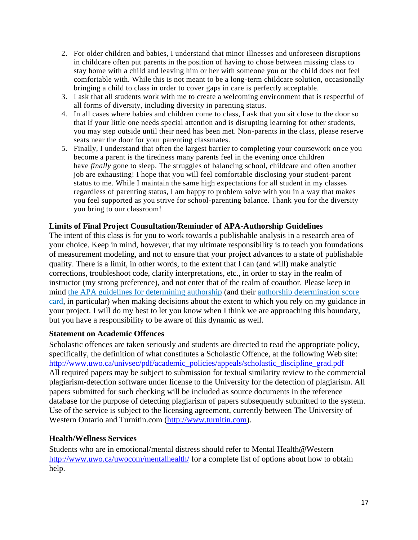- 2. For older children and babies, I understand that minor illnesses and unforeseen disruptions in childcare often put parents in the position of having to chose between missing class to stay home with a child and leaving him or her with someone you or the child does not feel comfortable with. While this is not meant to be a long-term childcare solution, occasionally bringing a child to class in order to cover gaps in care is perfectly acceptable.
- 3. I ask that all students work with me to create a welcoming environment that is respectful of all forms of diversity, including diversity in parenting status.
- 4. In all cases where babies and children come to class, I ask that you sit close to the door so that if your little one needs special attention and is disrupting learning for other students, you may step outside until their need has been met. Non-parents in the class, please reserve seats near the door for your parenting classmates.
- 5. Finally, I understand that often the largest barrier to completing your coursework once you become a parent is the tiredness many parents feel in the evening once children have *finally* gone to sleep. The struggles of balancing school, childcare and often another job are exhausting! I hope that you will feel comfortable disclosing your student-parent status to me. While I maintain the same high expectations for all student in my classes regardless of parenting status, I am happy to problem solve with you in a way that makes you feel supported as you strive for school-parenting balance. Thank you for the diversity you bring to our classroom!

# <span id="page-16-0"></span>**Limits of Final Project Consultation/Reminder of APA-Authorship Guidelines**

The intent of this class is for you to work towards a publishable analysis in a research area of your choice. Keep in mind, however, that my ultimate responsibility is to teach you foundations of measurement modeling, and not to ensure that your project advances to a state of publishable quality. There is a limit, in other words, to the extent that I can (and will) make analytic corrections, troubleshoot code, clarify interpretations, etc., in order to stay in the realm of instructor (my strong preference), and not enter that of the realm of coauthor. Please keep in mind the APA guidelines for determining authorship (and their authorship determination score card, in particular) when making decisions about the extent to which you rely on my guidance in your project. I will do my best to let you know when I think we are approaching this boundary, but you have a responsibility to be aware of this dynamic as well.

# <span id="page-16-1"></span>**Statement on Academic Offences**

Scholastic offences are taken seriously and students are directed to read the appropriate policy, specifically, the definition of what constitutes a Scholastic Offence, at the following Web site: http://www.uwo.ca/univsec/pdf/academic\_policies/appeals/scholastic\_discipline\_grad.pdf All required papers may be subject to submission for textual similarity review to the commercial plagiarism-detection software under license to the University for the detection of plagiarism. All papers submitted for such checking will be included as source documents in the reference database for the purpose of detecting plagiarism of papers subsequently submitted to the system. Use of the service is subject to the licensing agreement, currently between The University of Western Ontario and Turnitin.com (http://www.turnitin.com).

# <span id="page-16-2"></span>**Health/Wellness Services**

Students who are in emotional/mental distress should refer to Mental Health@Western http://www.uwo.ca/uwocom/mentalhealth/ for a complete list of options about how to obtain help.